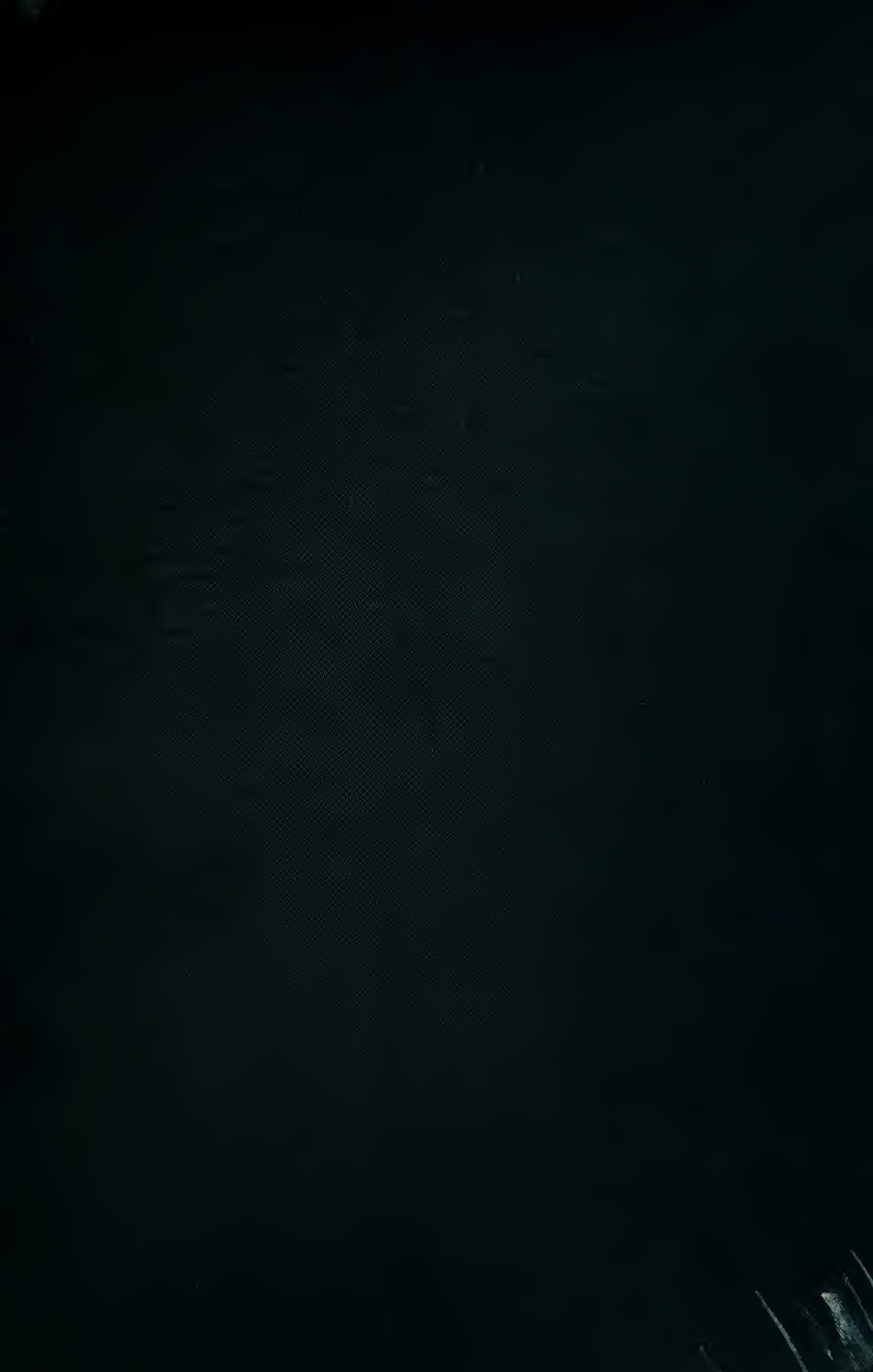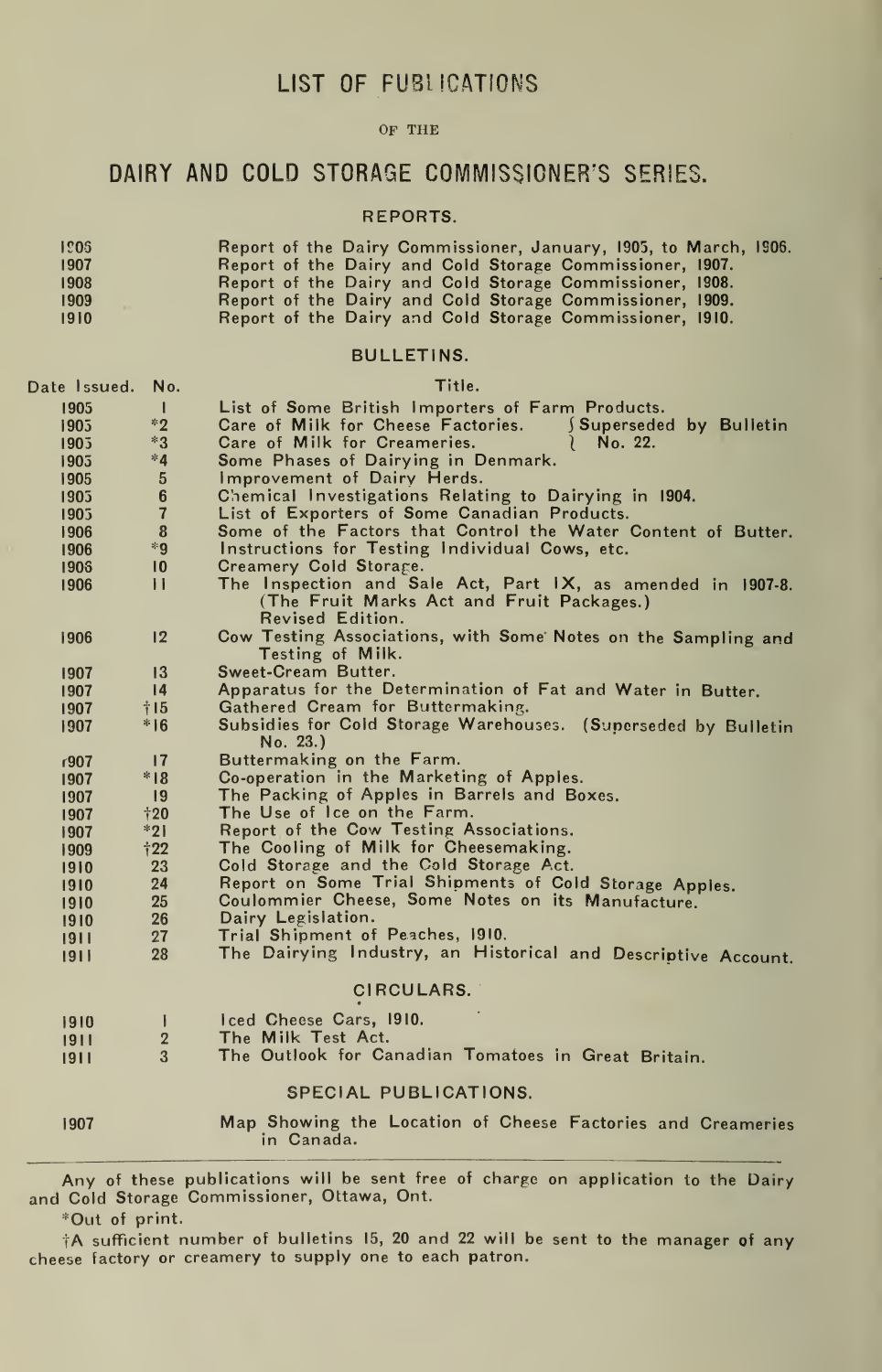#### LIST OF FUBl ICATIONS

#### OF THE

## DAIRY AND COLD STORAGE COMMISSIONER'S SERIES.

#### REPORTS.

| 1205 | Report of the Dairy Commissioner, January, 1905, to March, 1906. |
|------|------------------------------------------------------------------|
| 1907 | Report of the Dairy and Cold Storage Commissioner, 1907.         |
| 1908 | Report of the Dairy and Cold Storage Commissioner, 1908.         |
| 1909 | Report of the Dairy and Cold Storage Commissioner, 1909.         |
| 1910 | Report of the Dairy and Cold Storage Commissioner, 1910.         |

#### BULLETINS.

#### $\frac{1905}{1905}$   $\frac{1}{2}$  $1905$  \*2<br> $1905$  \*3  $1905$   $*3$ <br> $1905$   $*4$  $\begin{array}{cc} 1905 & *4 \\ 1905 & 5 \end{array}$ 1905 5<br>1905 6 1905 6 1905 7  $\begin{array}{cc} 1906 & 8 \\ 1906 & *9 \end{array}$ 1906 \*9 1906 <mark>1906</mark><br>1906 - Li **1906** Date Issued. No. Title. List of Some British Importers of Farm Products.<br>Care of Milk for Cheese Factories. If Superseded by Bulletin Care of Milk for Cheese Factories. Supersed<br>Care of Milk for Creameries. (No. 22. Care of Milk for Creameries. Some Phases of Dairying in Denmark. Improvement of Dairy Herds. Chemical Investigations Relating to Dairying in 1904. List of Exporters of Some Canadian Products. Some of the Factors that Control the Water Content of Butter.<br>Instructions for Testing Individual Cows, etc. Creamery Cold Storage. The Inspection and Sale Act, Part IX, as amended in 1907-8. (The Fruit Marks Act and Fruit Packages.) Revised Edition. 1906 12 Cow Testing Associations, with Some Notes on the Sampling and Testing of Milk. Sweet-Cream Butter. Apparatus for the Determination of Fat and Water in Butter. Gathered Cream for Buttermaking. Subsidies for Cold Storage Warehouses. (Superseded by Bulletin No. 23.) Buttermaking on the Farm. Co-operation in the Marketing of Apples. The Packing of Apples in Barrels and Boxes. The Use of Ice on the Farm. Report of the Cow Testing Associations. The Cooling of Milk for Cheesemaking. Cold Storage and the Cold Storage Act. Report on Some Trial Shipments of Cold Storage Apples. Coulommier Cheese, Some Notes on its Manufacture. Dairy Legislation. Trial Shipment of Peaches, 1910. The Dairying Industry, an Historical and Descriptive Account. CIRCULARS. 1907 13 1907 14<br>1907 †15  $\frac{1907}{1907}$   $\frac{15}{16}$ 1907 r907 17 1907 \*I8 1907 19<br>1907 †20 1907 †20<br>1907 \*21  $1907$  \*21<br>1909 †22  $\frac{1909}{1910}$   $\frac{122}{23}$ 1910 23 1910 24<br>1910 25 1910 25<br>1910 26 1910 26<br>1911 27 1911 27 1911

| 1910  | I ced Cheese Cars, 1910.                            |
|-------|-----------------------------------------------------|
| 1911  | The Milk Test Act.                                  |
| -1911 | The Outlook for Canadian Tomatoes in Great Britain. |

#### SPECIAL PUBLICATIONS.

| 1907 | Map Showing the Location of Cheese Factories and Creameries |
|------|-------------------------------------------------------------|
|      | in Canada.                                                  |

Any of these publications will be sent free of charge on application to the Dairy and Cold Storage Commissioner, Ottawa, Ont.

\*Out of print.

tA sufficient number of bulletins 15, <sup>20</sup> and <sup>22</sup> will be sent to the manager of any cheese factory or creamery to supply one to each patron.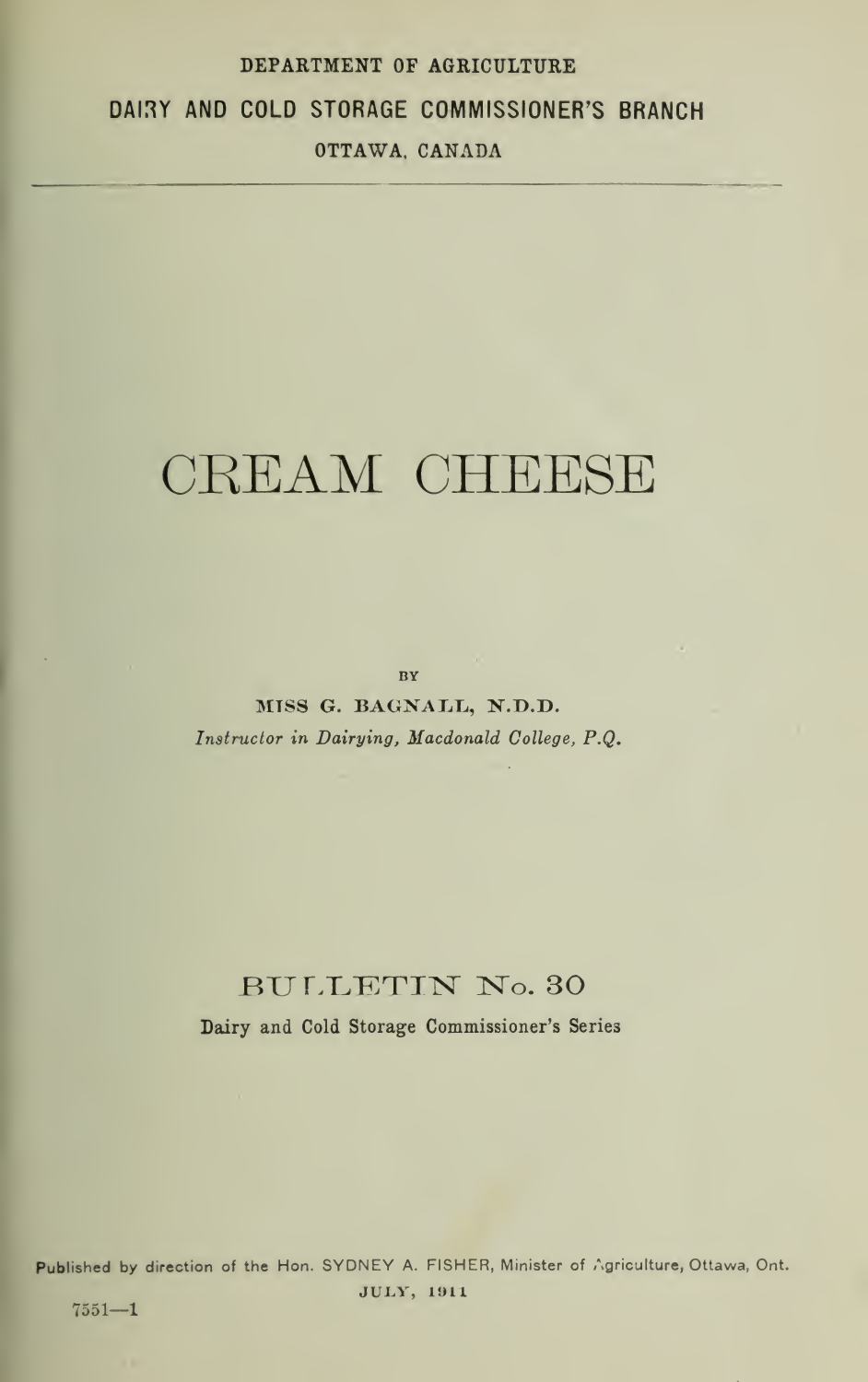# DEPARTMENT OF AGRICULTURE DAIRY AND COLD STORAGE COMMISSIONER'S BRANCH OTTAWA, CANADA

# CKEAM CHEESE

BY

MISS G. BAGNALL, N.D.D. Instructor in Dairying, Macdonald College, P.Q,

# BULLETIN No. 30

Dairy and Cold Storage Commissioner's Series

Published by direction of the Hon. SYDNEY A. FISHER, Minister of Agriculture, Ottawa, Ont. JULY, 1911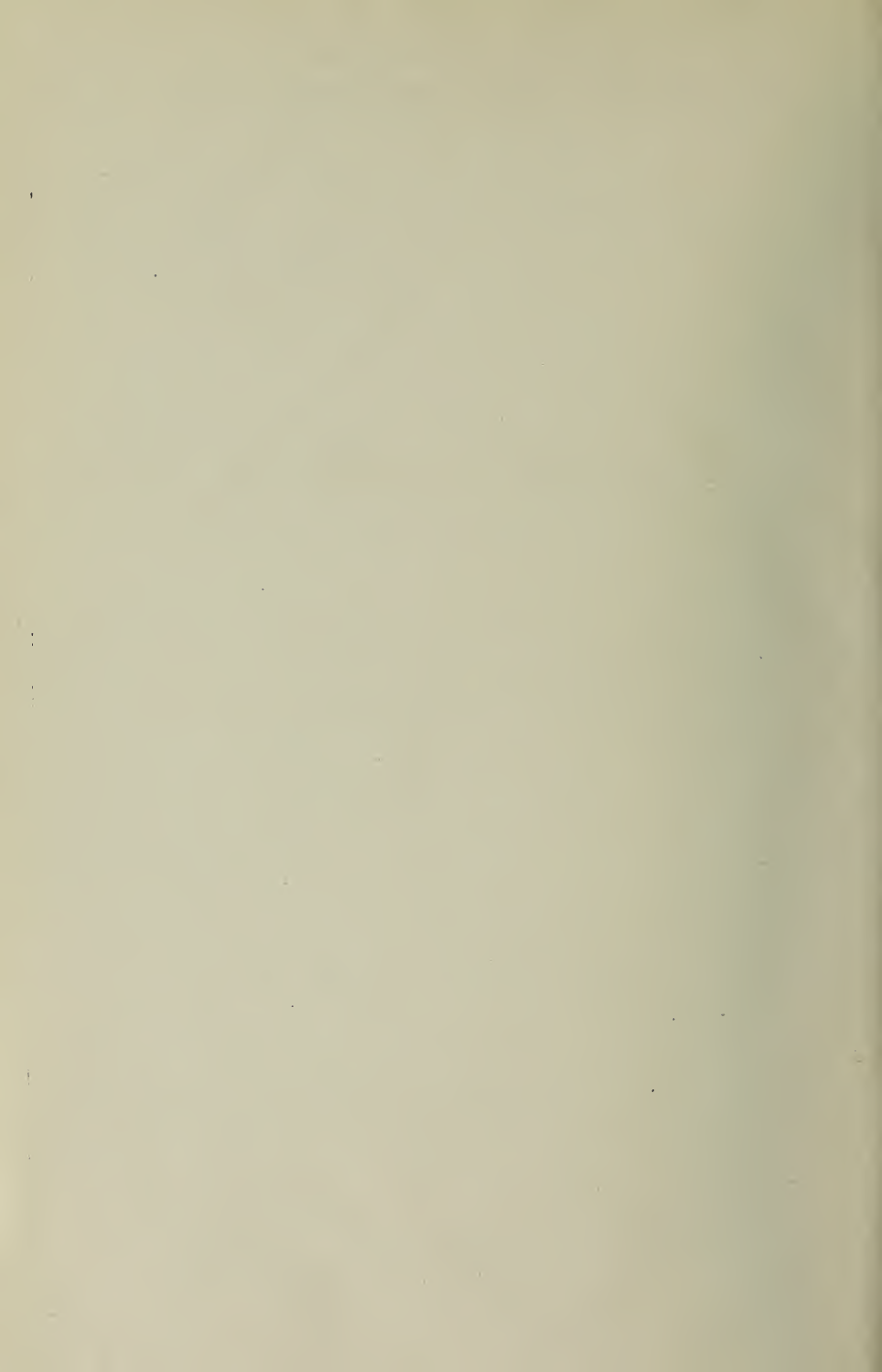$\mathbb{C}^n$  , where  $\mathbb{C}^n$ 

 $\lambda_{\rm{eff}}$ 

 $\alpha$  and  $\beta$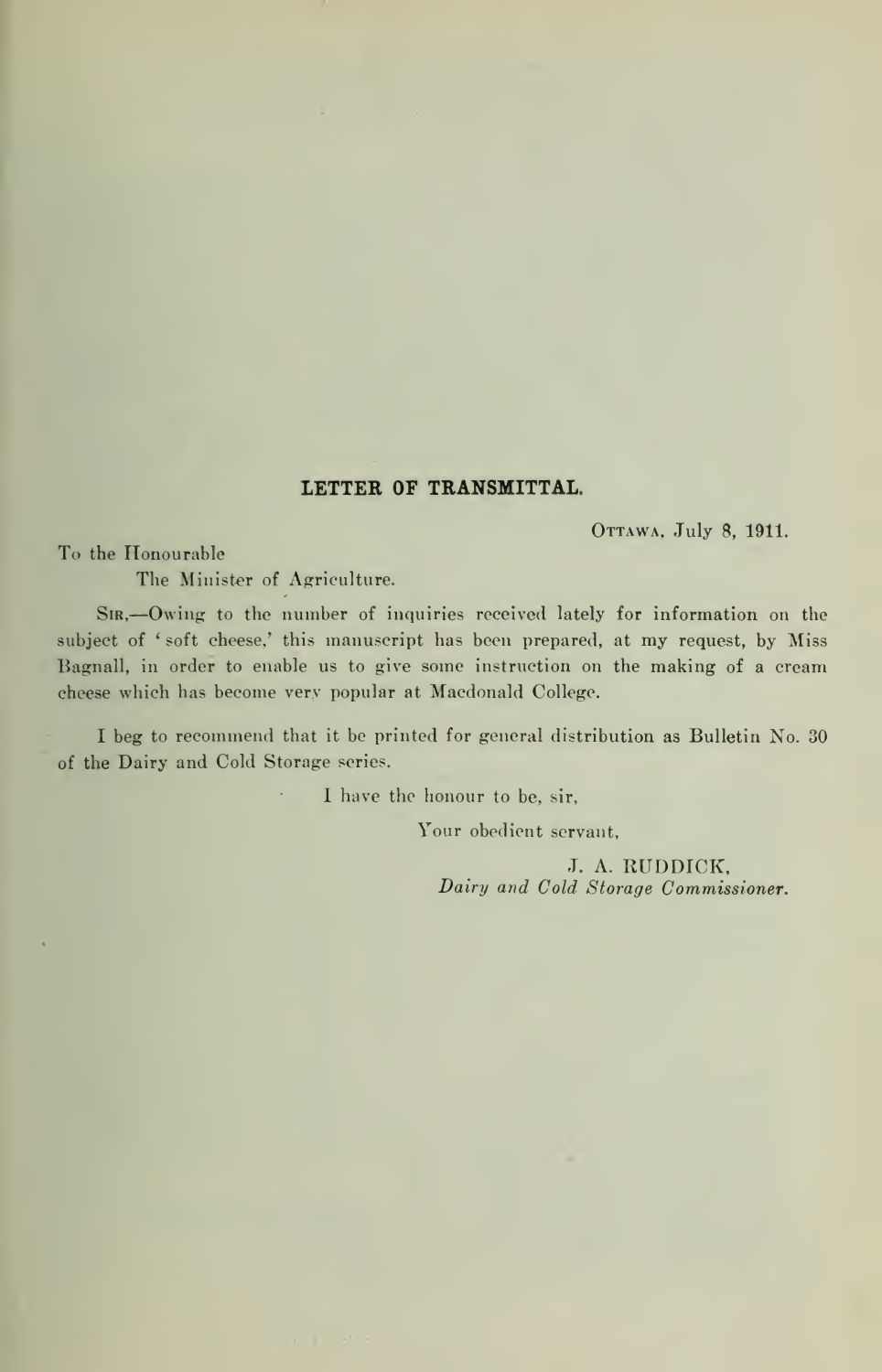### LETTER OF TRANSMITTAL.

OTTAWA, July 8, 1911.

To the Honourable

The Minister of Agriculture.

Sir,—Owing to the number of inquiries received lately for information on the subject of \* soft cheese/ this manuscript has been prepared, at my request, by Miss Bagnall, in order to enable us to give some instruction on the making of a cream cheese which has become very popular at Macdonald College.

I beg to recommend that it be printed for general distribution as Bulletin No. 30 of the Dairy and Cold Storage series.

I have the lionour to be, sir,

Your obedient servant,

J. A. RUDDICK, Dairy and Cold Storage Commissioner.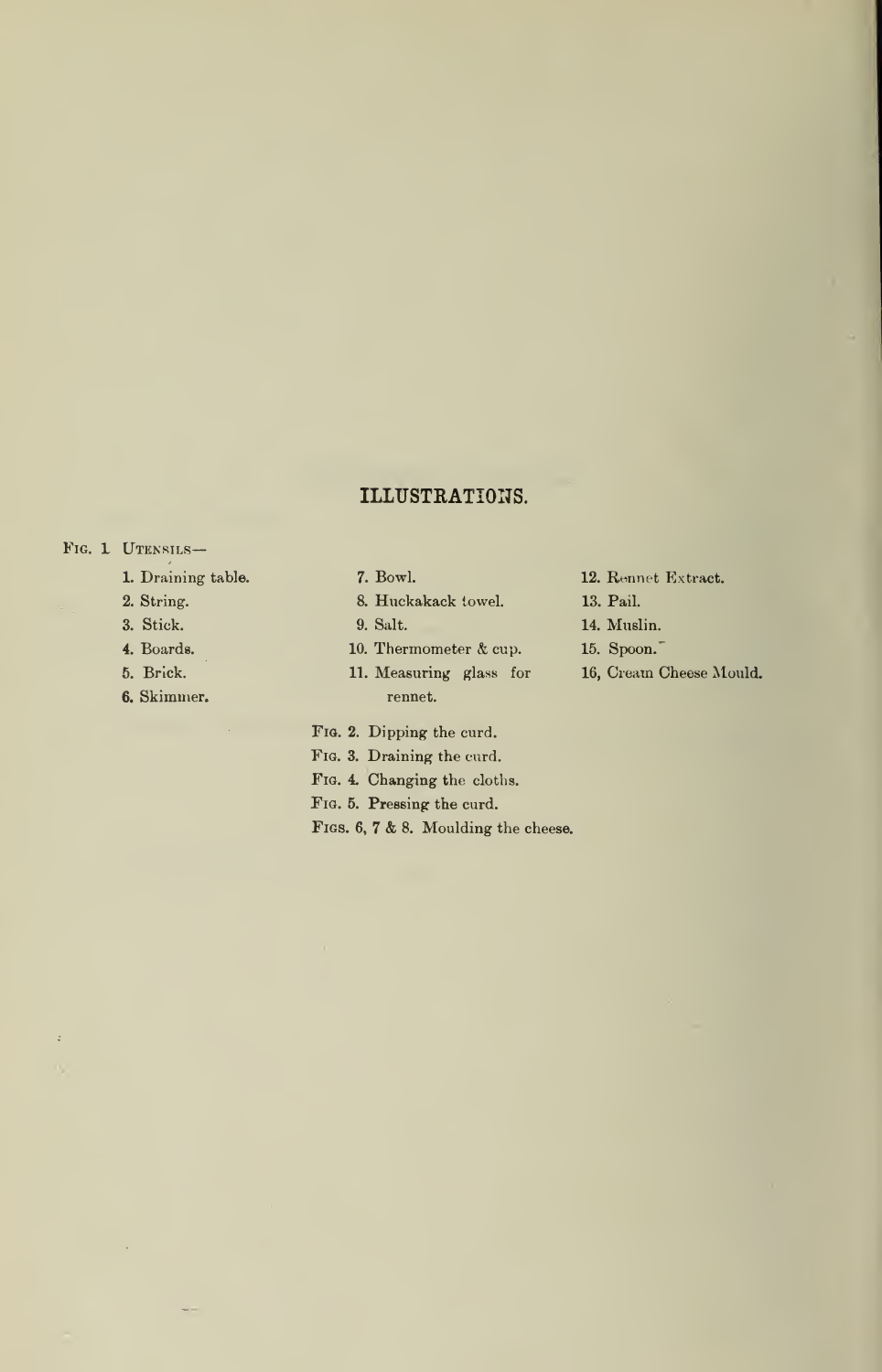## ILLUSTRATIONS.

#### FIG. 1 UTENSILS-

- 1. Draining table.
- 2. String.
- 3. Stick.
- 4. Boards.
- 5. Brick.
- 6. Skimmer.
- 7. Bowl.
- 8. Huckakack towel.
- 9. Salt.
- 10. Thermometer & cup.
- 11. Measuring glass for rennet.
- FIG. 2. Dipping the curd.
- Fig. 3. Draining the curd.
- Fig. 4. Changing the cloths.
- Fig. 5. Pressing the curd.

FIGS. 6, 7 & 8. Moulding the cheese.

- 12. Rennet Extract.
- 13. Pail.
- 14. Muslin.
- 15. Spoon.'
- 16. Cream Cheese Mould.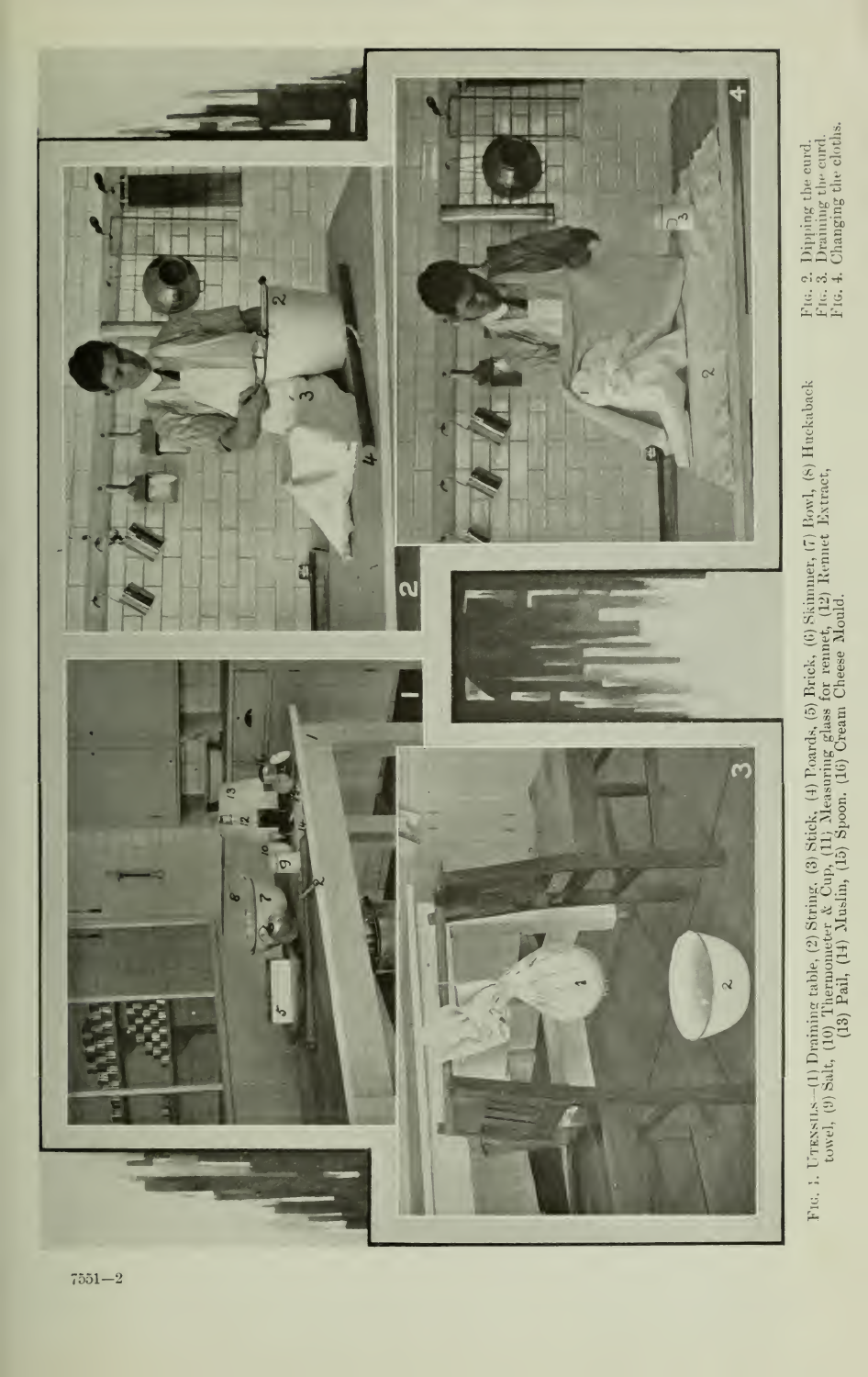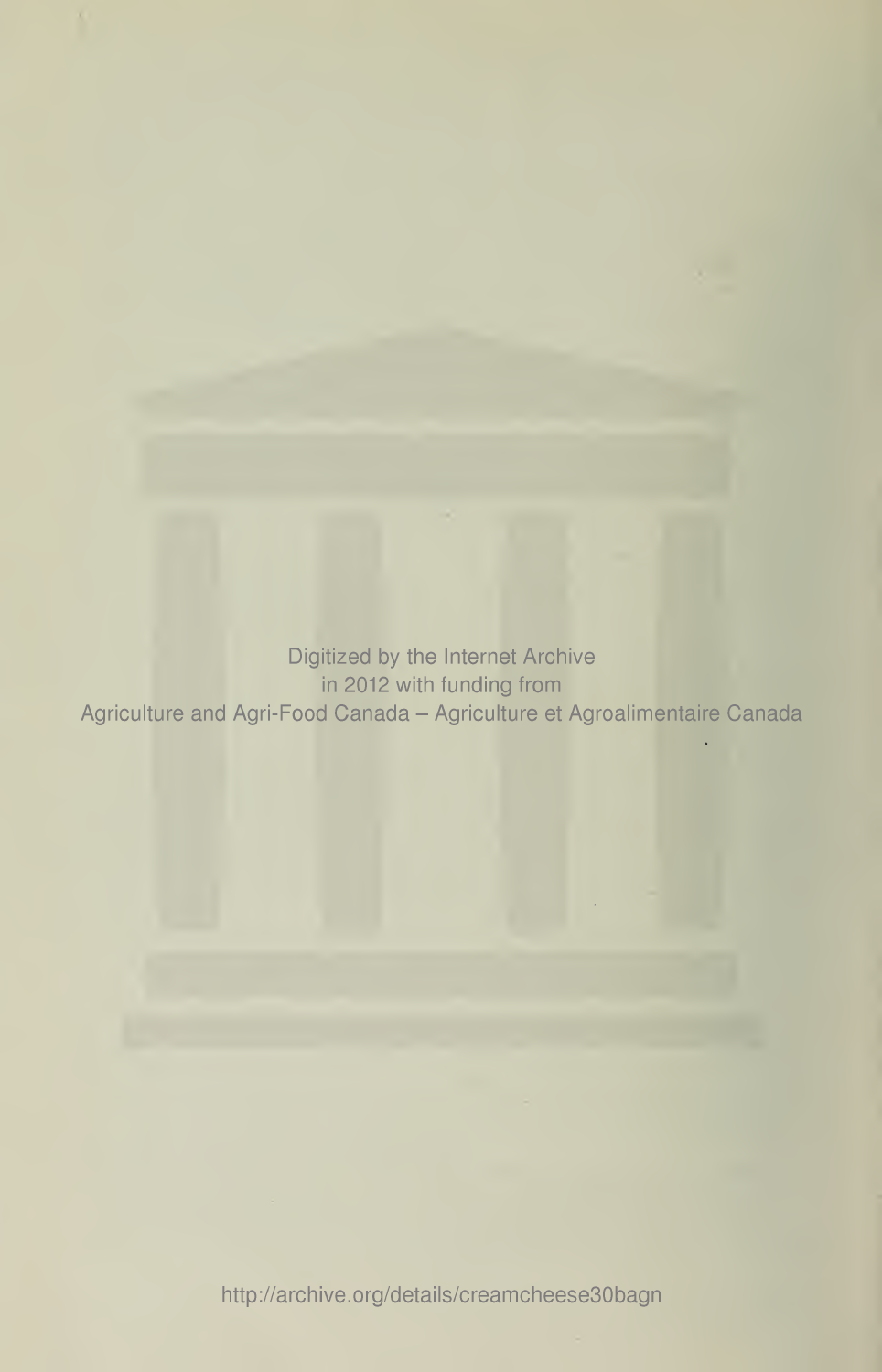Digitized by the Internet Archive in 2012 with funding from Agriculture and Agri-Food Canada - Agriculture et Agroalimentaire Canada

http://archive.org/details/creamcheese30bagn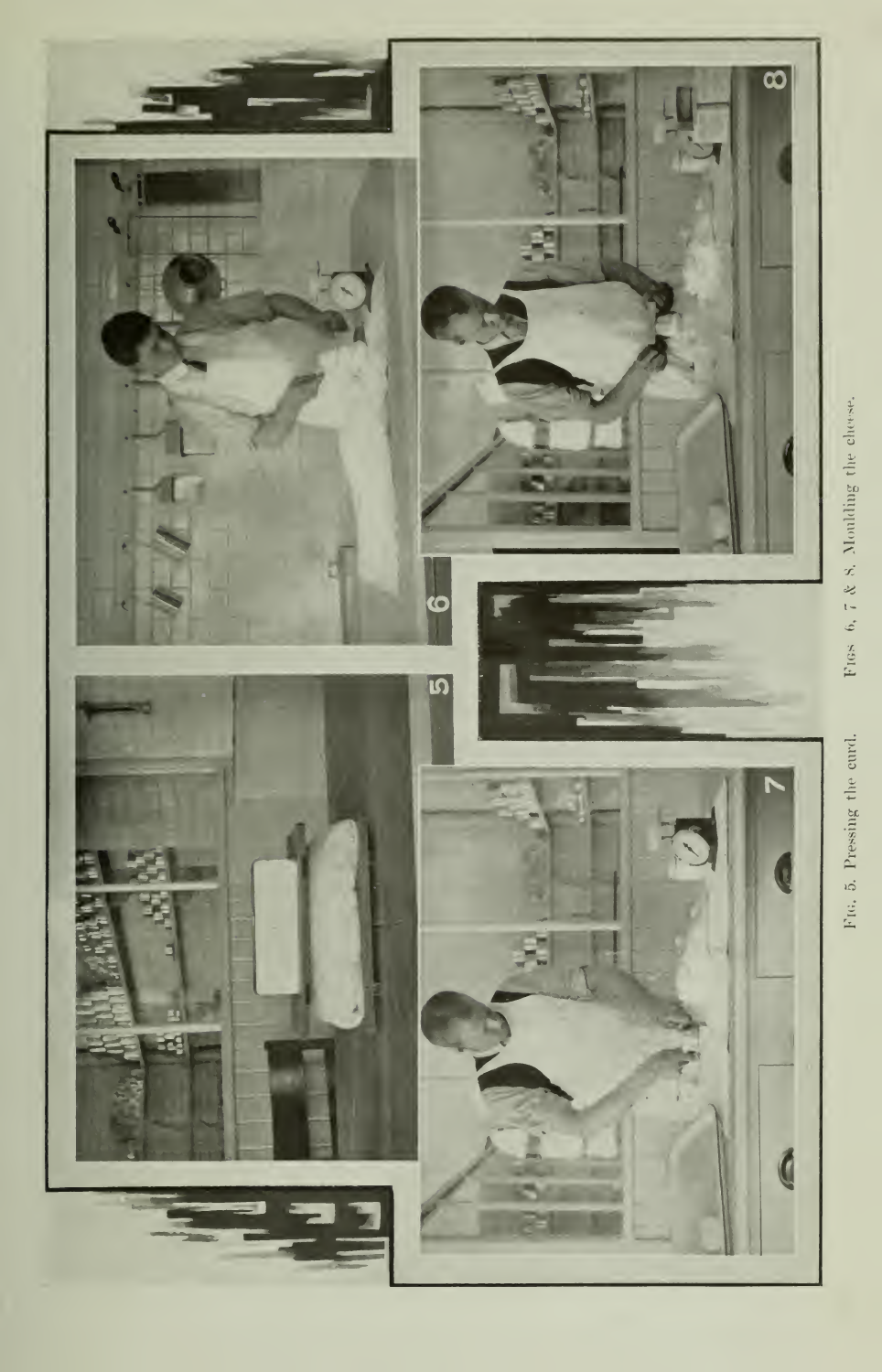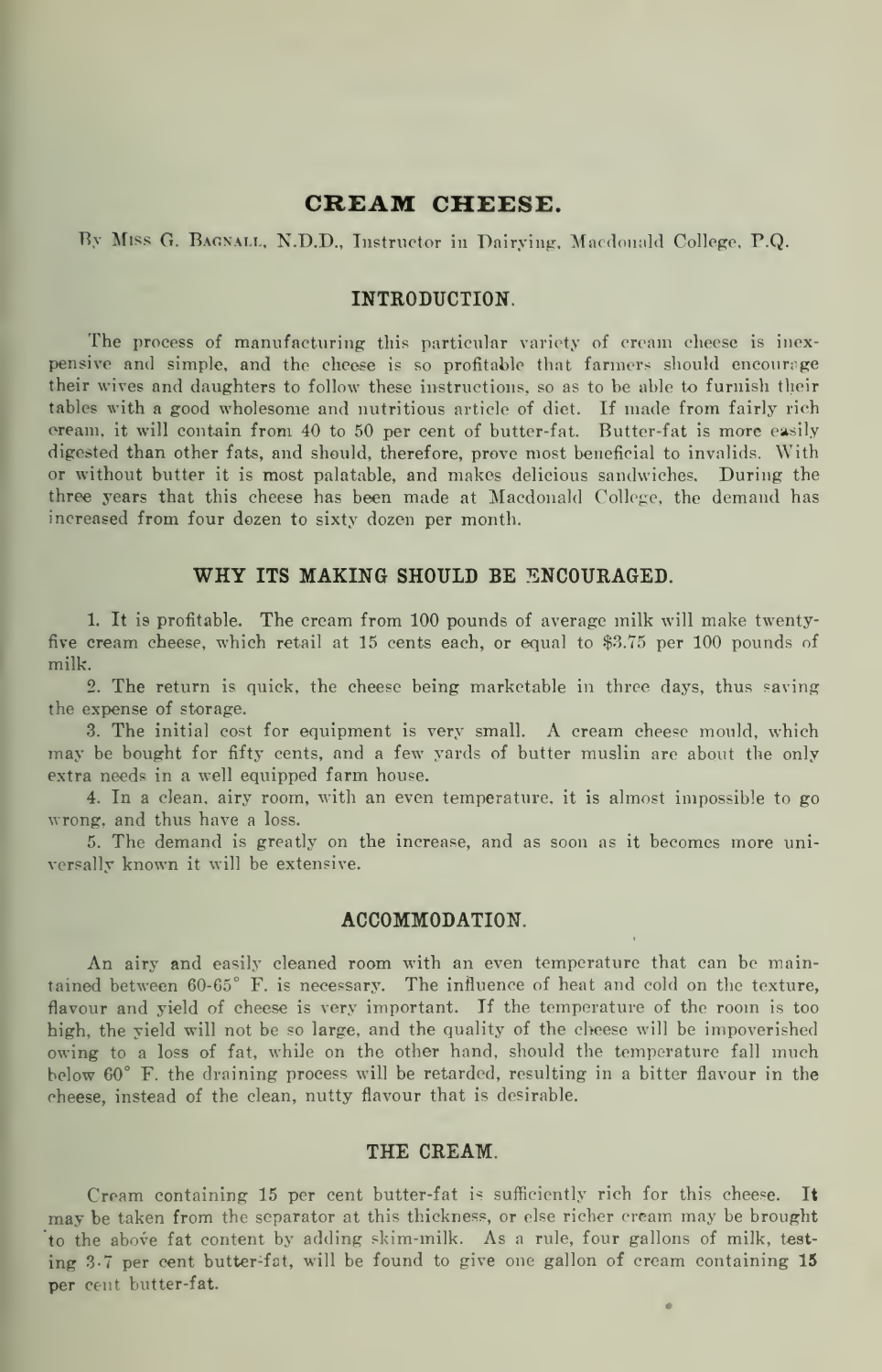### CREAM CHEESE.

By Miss G. Bagnatt, N.D.D., Instructor in Dairying, Macdonald College, P.Q.

#### INTRODUCTION.

The process of manufacturing this particular variety of cream cheese is inexpensive and simple, and the cheese is so profitable that farmers should encourage their wives and daughters to follow these instructions, so as to be able to furnish their tables with a good wholesome and nutritious article of diet. If made from fairly rich oreani, it will contain from 40 to 50 per cent of butter-fat. Butter-fat is more easily digested than other fats, and should, therefore, prove most beneficial to invalids. With or without butter it is most palatable, and makes delicious sandwiches. During the three years that this cheese has been made at Macdonald College, the demand has increased from four dozen to sixty dozen per month.

#### WHY ITS MAKING SHOULD BE ENCOURAGED.

1. It is profitable. The cream from 100 pounds of average milk will make twentyfive cream cheese, which retail at 15 cents each, or equal to \$3.75 per 100 pounds of milk.

2. The return is quick, the cheese being marketable in three days, thus saving the expense of storage.

3. The initial cost for equipment is very small. A cream cheese mould, which may be bought for fifty cents, and <sup>a</sup> few yards of butter muslin are about the only extra needs in a well equipped farm house.

4. In a clean, airy room, with an even temperature, it is almost impossible to go wrong, and thus have a loss.

5. The demand isgreatly on the increase, and as soon as it becomes more universally known it will be extensive.

#### ACCOMMODATION.

An airy and easily cleaned room with an even temperature that can be maintained between 60-65° F. is necessary. The influence of heat and cold on the texture, flavour and yield of cheese is very important. If the temperature of the room is too high, the yield will not be so large, and the quality of the cheese will be impoverished owing to a loss of fat, while on the other hand, should the temperature fall much below 60° F. the draining process will be retarded, resulting in a bitter flavour in the cheese, instead of the clean, nutty flavour that is desirable.

#### THE CREAM.

Cream containing 15 per cent butter-fat is sufficiently rich for this cheese. It may be taken from the separator at this thickness, or else richer cream may be brought to the above fat content by adding skim-milk. As <sup>a</sup> rule, four gallons of milk, test ing 3-7 per cent butter-fat, will be found to give one gallon of cream containing 15 per cent butter-fat.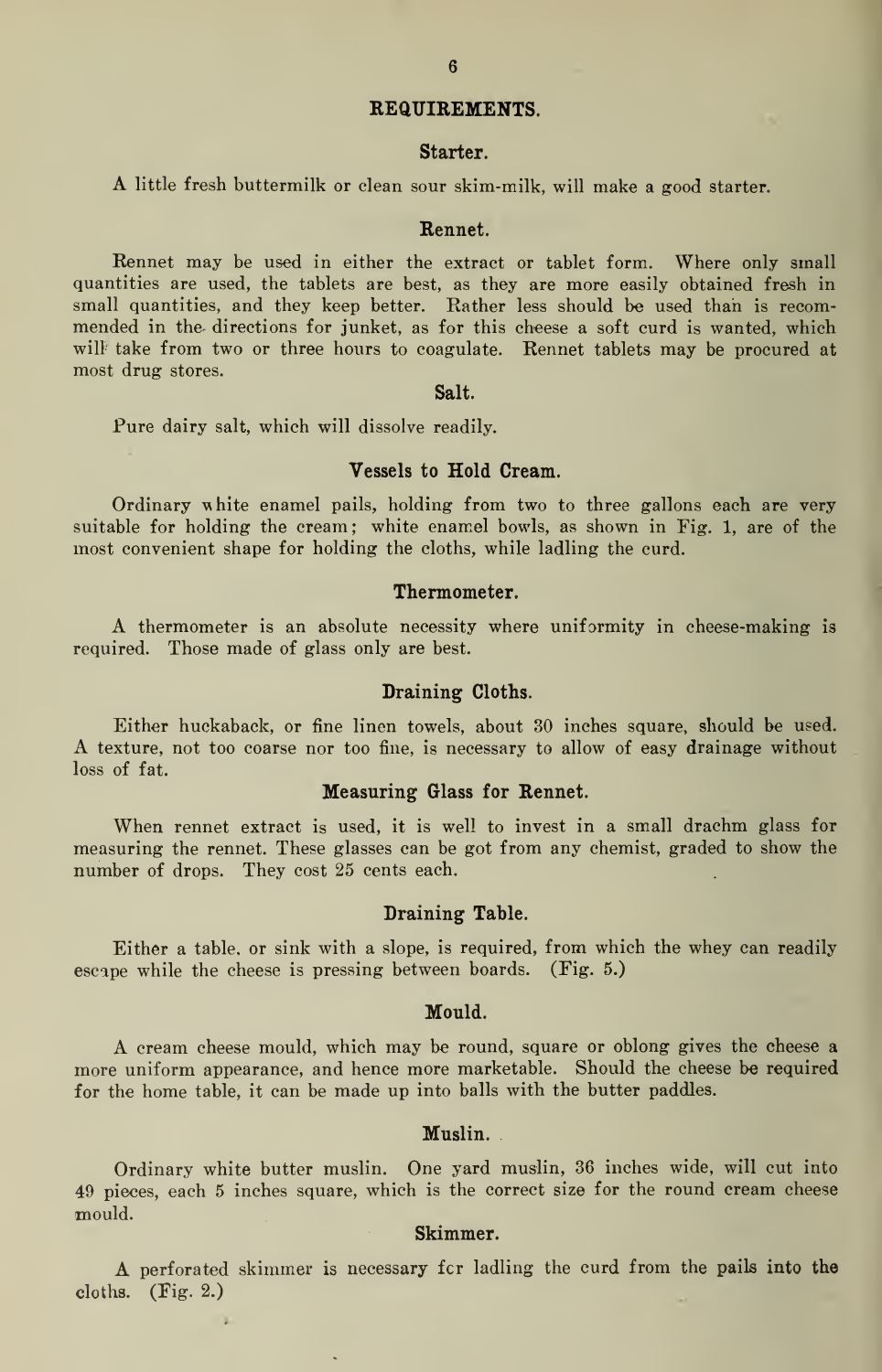#### REaUIREMENTS.

#### Starter.

A little fresh buttermilk or clean sour skim-milk, will make <sup>a</sup> good starter.

#### Rennet.

Rennet may be used in either the extract or tablet form. Where only small quantities are used, the tablets are best, as they are more easily obtained fresh in small quantities, and they keep better. Rather less should be used than is recom mended in the directions for junket, as for this cheese a soft curd is wanted, which will take from two or three hours to coagulate. Rennet tablets may be procured at most drug stores.

#### Salt.

Pure dairy salt, which will dissolve readily.

#### Vessels to Hold Cream.

Ordinary white enamel pails, holding from two to three gallons each are very suitable for holding the cream ; white enamel bowls, as shown in Fig. 1, are of the most convenient shape for holding the cloths, while ladling the curd.

Thermometer.

A thermometer is an absolute necessity where uniformity in cheese-making is required. Those made of glass only are best.

#### Draining Cloths.

Either huckaback, or fine linen towels, about <sup>30</sup> inches square, should be used. <sup>A</sup> texture, not too coarse nor too fine, is necessary to allow of easy drainage without loss of fat.

#### Measuring Glass for Rennet.

When rennet extract is used, it is well to invest in <sup>a</sup> small drachm glass for measuring the rennet. These glasses can be got from any chemist, graded to show the number of drops. They cost 25 cents each.

#### Draining Table.

Either <sup>a</sup> table, or sink with <sup>a</sup> slope, is required, from which the whey can readily escape while the cheese is pressing between boards. (Fig. 5.)

#### Mould.

A cream cheese mould, which may be round, square or oblong gives the cheese <sup>a</sup> more uniform appearance, and hence more marketable. Should the cheese be required for the home table, it can be made up into balls with the butter paddles.

#### Muslin.

Ordinary white butter muslin. One yard muslin, 36 inches wide, will cut into 49 pieces, each 5 inches square, which is the correct size for the round cream cheese mould.

#### Skimmer.

A perforated skimmer is necessary for ladling the curd from the pails into the cloths. (Fig. 2.)

ä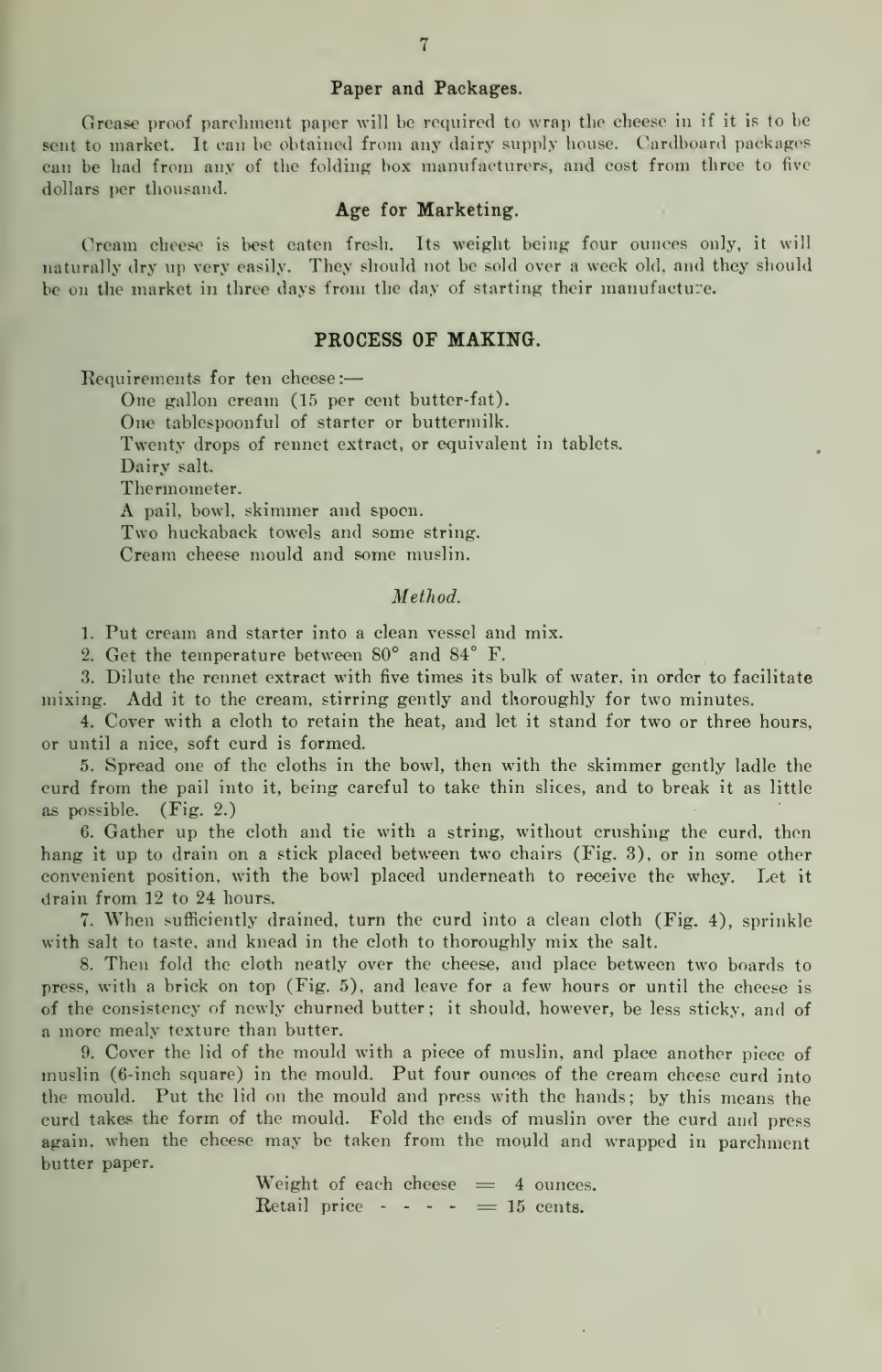Grease proof parehment paper will be required to wrap the cheese in if it is to be sent to market. It can be obtained from any dairy supply house. Cardboard packages can be had from any of the folding box manufacturers, and cost from three to five dollars per thousand.

#### Age for Marketing.

Cream cheese is best eaten fresh. Its weight being four ounces only, it will naturally dry up very easily. They should not be sold over <sup>a</sup> week old, and they should be on the market in three days from the day of starting their manufacture.

#### PROCESS OF MAKING.

Requirements for ten cheese:

One gallon cream (15 per cent butter-fat).

One tablespoonful of starter or buttermilk.

Twenty drops of rennet extract, or equivalent in tablets.

Dairy salt.

Thermometer.

A pail, bowl, skimmer and spocn.

Two huckaback towels and some string.

Cream cheese mould and some muslin.

#### Method.

1. Put cream and starter into a clean vessel and mix.

2. Get the temperature between 80° and 84° F.

3. Dilute the rennet extract with five times its bulk of water, in order to facilitate mixing. Add it to the cream, stirring gently and thoroughly for two minutes.

4. Cover with a cloth to retain the heat, and let it stand for two or three hours, or until a nice, soft curd is formed.

5. Spread one of the cloths in the bowl, then with the skimmer gently ladle the curd from the pail into it, being careful to take thin slices, and to break it as little as possible. (Fig. 2.)

6. Gather up the cloth and tie with a string, without crushing the curd, then hang it up to drain on a stick placed between two chairs (Fig. 3), or in some other convenient position, with the bowl placed underneath to receive the whey. Let it drain from 12 to 24 hours.

7. When sufficiently drained, turn the curd into <sup>a</sup> clean cloth (Fig. 4), sprinkle with salt to taste, and knead in the cloth to thoroughly mix the salt.

8. Then fold the cloth neatly over the cheese, and place between two boards to press, with a brick on top (Fig. 5), and leave for a few hours or until the cheese is of the consistency of newly churned butter; it should, however, be less sticky, and of a more mealy texture than butter.

9. Cover the lid of the mould with <sup>a</sup> piece of muslin, and place another piece of muslin (6-inch square) in the mould. Put four ounces of the cream cheese curd into the mould. Put the lid on the mould and press with the hands; by this means the curd takes the form of the mould. Fold the ends of muslin over the curd and press again, when the cheese may be taken from the mould and wrapped in parchment butter paper.

> Weight of each cheese  $= 4$  ounces. Retail price  $- - - = 15$  cents.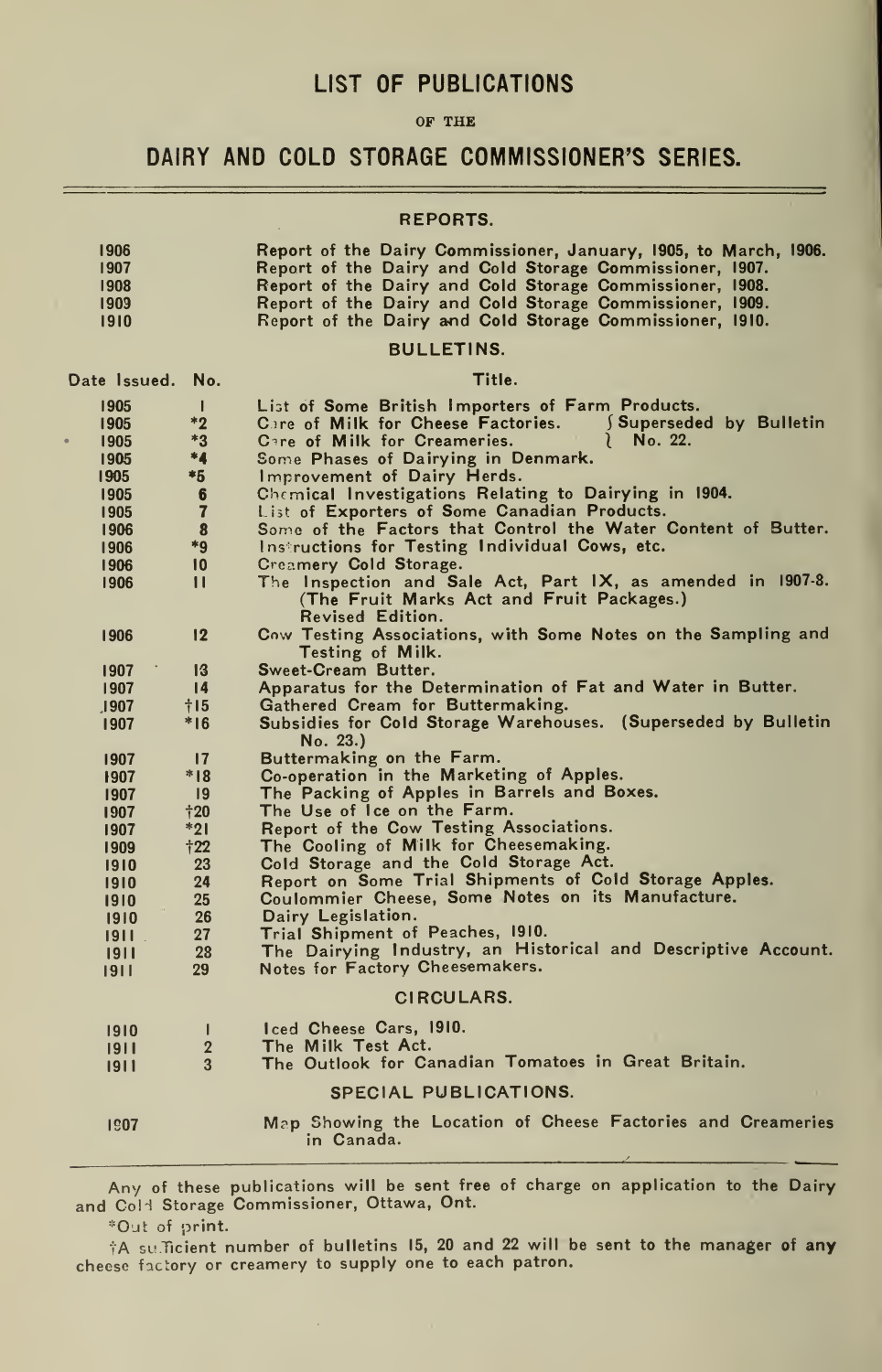## LIST OF PUBLICATIONS

#### OF THE

# DAIRY AND COLD STORAGE COMMISSIONER'S SERIES.

#### REPORTS.

| 1906<br>1907<br>1908<br>1909<br>1910 |                     | Report of the Dairy Commissioner, January, 1905, to March, 1906.<br>Report of the Dairy and Cold Storage Commissioner, 1907.<br>Report of the Dairy and Cold Storage Commissioner, 1908.<br>Report of the Dairy and Cold Storage Commissioner, 1909.<br>Report of the Dairy and Cold Storage Commissioner, 1910. |
|--------------------------------------|---------------------|------------------------------------------------------------------------------------------------------------------------------------------------------------------------------------------------------------------------------------------------------------------------------------------------------------------|
|                                      |                     | <b>BULLETINS.</b>                                                                                                                                                                                                                                                                                                |
| Date Issued. No.                     |                     | Title.                                                                                                                                                                                                                                                                                                           |
| 1905                                 | т                   | List of Some British Importers of Farm Products.                                                                                                                                                                                                                                                                 |
| 1905                                 | $*2$                | Care of Milk for Cheese Factories. Superseded by Bulletin                                                                                                                                                                                                                                                        |
| 1905                                 | $*3$                | Care of Milk for Creameries.<br>$)$ No. 22.                                                                                                                                                                                                                                                                      |
| 1905                                 | *4                  | Some Phases of Dairying in Denmark.                                                                                                                                                                                                                                                                              |
| 1905                                 | $*5$                | Improvement of Dairy Herds.<br>Chemical Investigations Relating to Dairying in 1904.                                                                                                                                                                                                                             |
| 1905<br>1905                         | 6<br>$\overline{7}$ | List of Exporters of Some Canadian Products.                                                                                                                                                                                                                                                                     |
| 1906                                 | 8                   | Some of the Factors that Control the Water Content of Butter.                                                                                                                                                                                                                                                    |
| 1906                                 | *9                  | Instructions for Testing Individual Cows, etc.                                                                                                                                                                                                                                                                   |
| 1906                                 | $\overline{10}$     | Creamery Cold Storage.                                                                                                                                                                                                                                                                                           |
| 1906                                 | $\mathbf{H}$        | The Inspection and Sale Act, Part IX, as amended in 1907-8.<br>(The Fruit Marks Act and Fruit Packages.)<br><b>Revised Edition.</b>                                                                                                                                                                              |
| 1906                                 | $12 \,$             | Cow Testing Associations, with Some Notes on the Sampling and<br>Testing of Milk.                                                                                                                                                                                                                                |
| 1907                                 | $\mathbf{13}$       | Sweet-Cream Butter.                                                                                                                                                                                                                                                                                              |
| 1907                                 | $\overline{14}$     | Apparatus for the Determination of Fat and Water in Butter.                                                                                                                                                                                                                                                      |
| 1907                                 | $\dagger$ 15        | Gathered Cream for Buttermaking.                                                                                                                                                                                                                                                                                 |
| 1907                                 | $*16$               | Subsidies for Cold Storage Warehouses. (Superseded by Bulletin<br>No. 23.)                                                                                                                                                                                                                                       |
| 1907                                 | 17                  | Buttermaking on the Farm.                                                                                                                                                                                                                                                                                        |
| 1907                                 | $*18$               | Co-operation in the Marketing of Apples.                                                                                                                                                                                                                                                                         |
| 1907<br>1907                         | 9<br>$\dagger 20$   | The Packing of Apples in Barrels and Boxes.<br>The Use of Ice on the Farm.                                                                                                                                                                                                                                       |
| 1907                                 | $*21$               | Report of the Cow Testing Associations.                                                                                                                                                                                                                                                                          |
| 1909                                 | $+22$               | The Cooling of Milk for Cheesemaking.                                                                                                                                                                                                                                                                            |
| 1910                                 | 23                  | Cold Storage and the Cold Storage Act.                                                                                                                                                                                                                                                                           |
| 1910                                 | 24                  | Report on Some Trial Shipments of Cold Storage Apples.                                                                                                                                                                                                                                                           |
| 1910                                 | 25                  | Coulommier Cheese, Some Notes on its Manufacture.                                                                                                                                                                                                                                                                |
| 1910                                 | 26                  | Dairy Legislation.                                                                                                                                                                                                                                                                                               |
| $1911$ .                             | 27                  | Trial Shipment of Peaches, 1910.                                                                                                                                                                                                                                                                                 |
| 1911                                 | 28                  | The Dairying Industry, an Historical and Descriptive Account.<br>Notes for Factory Cheesemakers.                                                                                                                                                                                                                 |
| 1911                                 | 29                  |                                                                                                                                                                                                                                                                                                                  |
|                                      |                     | CIRCULARS.                                                                                                                                                                                                                                                                                                       |
| 1910                                 | $\mathbf{I}$        | Iced Cheese Cars, 1910.                                                                                                                                                                                                                                                                                          |
| 1911                                 | $\overline{2}$      | The Milk Test Act.                                                                                                                                                                                                                                                                                               |
| 1911                                 | 3                   | The Outlook for Canadian Tomatoes in Great Britain.                                                                                                                                                                                                                                                              |
|                                      |                     | SPECIAL PUBLICATIONS.                                                                                                                                                                                                                                                                                            |
| 1907                                 |                     | Map Showing the Location of Cheese Factories and Creameries<br>in Canada.                                                                                                                                                                                                                                        |
|                                      |                     |                                                                                                                                                                                                                                                                                                                  |

Any of these publications will be sent free of charge on application to the Dairy and Cold Storage Commissioner, Ottawa, Ont.

\*0'jt of print.

 $\hat{A}$  sufficient number of bulletins 15, 20 and 22 will be sent to the manager of any cheese factory or creamery to supply one to each patron.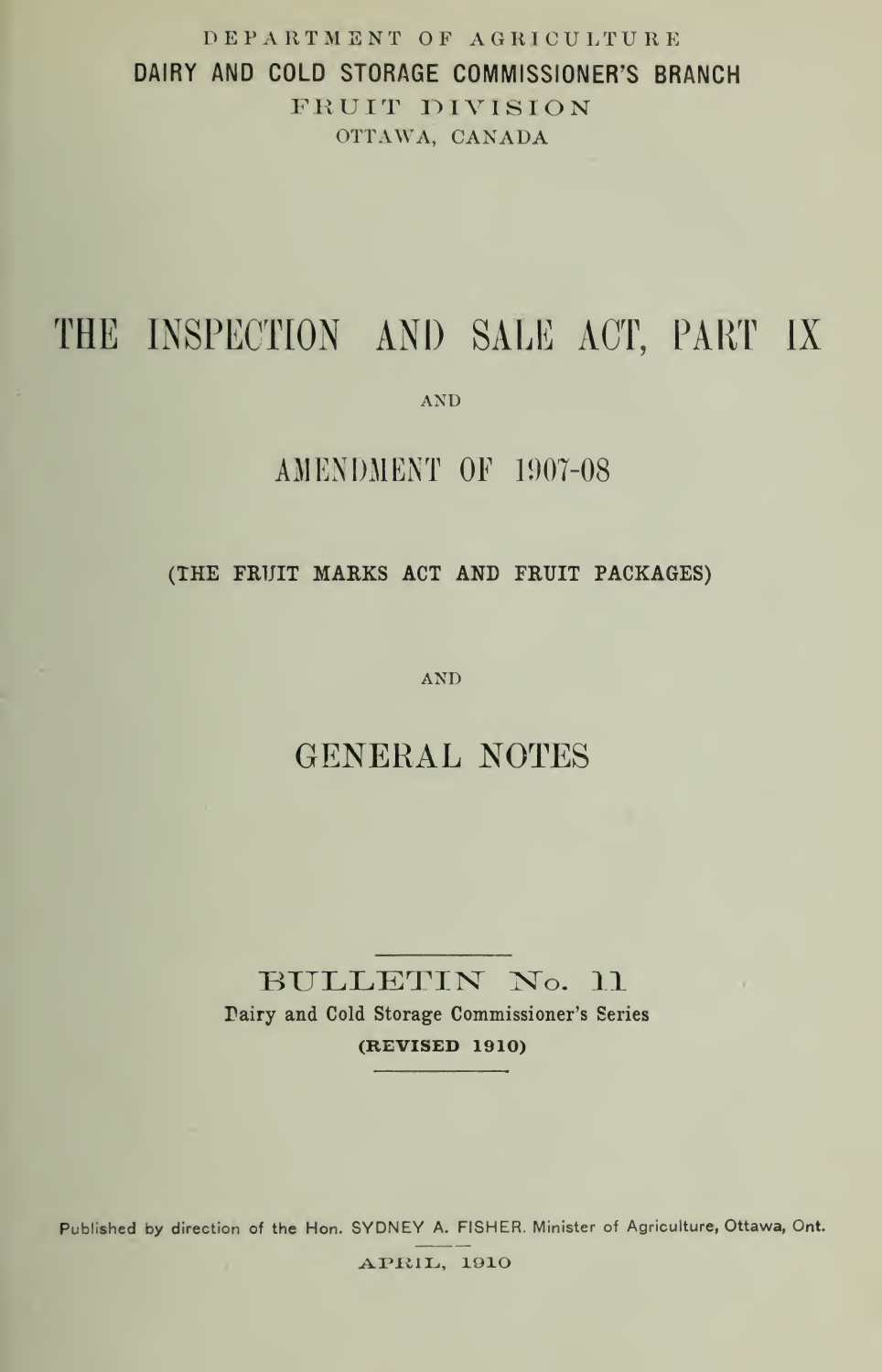DEPARTMENT OF AGRICULTURE DAIRY AND COLD STORAGE COMMISSIONER'S BRANCH FRUIT DIVISION OTTAWA, CANADA

# THE INSPECTION AND SALE ACT, PART IX

AND

# AMENDMENT OF 1907-08

## (THE FRUIT MARKS ACT AND FRUIT PACKAGES)

AND

# GENERAL NOTES

# BULLETIN No. 11 Dairy and Cold Storage Commissioner's Series (REVISED 1910)

Published by direction of the Hon. SYDNEY A. FISHER. Minister of Agriculture, Ottawa, Ont.**APRIL, 1910**